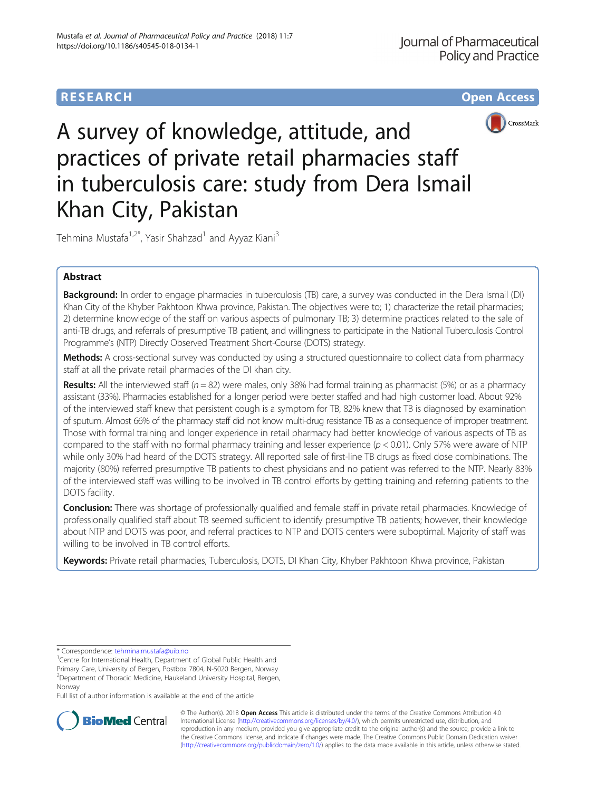# **RESEARCH CHE Open Access**





A survey of knowledge, attitude, and practices of private retail pharmacies staff in tuberculosis care: study from Dera Ismail Khan City, Pakistan

Tehmina Mustafa<sup>1,2\*</sup>, Yasir Shahzad<sup>1</sup> and Ayyaz Kiani<sup>3</sup>

# Abstract

Background: In order to engage pharmacies in tuberculosis (TB) care, a survey was conducted in the Dera Ismail (DI) Khan City of the Khyber Pakhtoon Khwa province, Pakistan. The objectives were to; 1) characterize the retail pharmacies; 2) determine knowledge of the staff on various aspects of pulmonary TB; 3) determine practices related to the sale of anti-TB drugs, and referrals of presumptive TB patient, and willingness to participate in the National Tuberculosis Control Programme's (NTP) Directly Observed Treatment Short-Course (DOTS) strategy.

Methods: A cross-sectional survey was conducted by using a structured questionnaire to collect data from pharmacy staff at all the private retail pharmacies of the DI khan city.

**Results:** All the interviewed staff ( $n = 82$ ) were males, only 38% had formal training as pharmacist (5%) or as a pharmacy assistant (33%). Pharmacies established for a longer period were better staffed and had high customer load. About 92% of the interviewed staff knew that persistent cough is a symptom for TB, 82% knew that TB is diagnosed by examination of sputum. Almost 66% of the pharmacy staff did not know multi-drug resistance TB as a consequence of improper treatment. Those with formal training and longer experience in retail pharmacy had better knowledge of various aspects of TB as compared to the staff with no formal pharmacy training and lesser experience  $(p < 0.01)$ . Only 57% were aware of NTP while only 30% had heard of the DOTS strategy. All reported sale of first-line TB drugs as fixed dose combinations. The majority (80%) referred presumptive TB patients to chest physicians and no patient was referred to the NTP. Nearly 83% of the interviewed staff was willing to be involved in TB control efforts by getting training and referring patients to the DOTS facility.

**Conclusion:** There was shortage of professionally qualified and female staff in private retail pharmacies. Knowledge of professionally qualified staff about TB seemed sufficient to identify presumptive TB patients; however, their knowledge about NTP and DOTS was poor, and referral practices to NTP and DOTS centers were suboptimal. Majority of staff was willing to be involved in TB control efforts.

Keywords: Private retail pharmacies, Tuberculosis, DOTS, DI Khan City, Khyber Pakhtoon Khwa province, Pakistan

Full list of author information is available at the end of the article



© The Author(s). 2018 Open Access This article is distributed under the terms of the Creative Commons Attribution 4.0 International License [\(http://creativecommons.org/licenses/by/4.0/](http://creativecommons.org/licenses/by/4.0/)), which permits unrestricted use, distribution, and reproduction in any medium, provided you give appropriate credit to the original author(s) and the source, provide a link to the Creative Commons license, and indicate if changes were made. The Creative Commons Public Domain Dedication waiver [\(http://creativecommons.org/publicdomain/zero/1.0/](http://creativecommons.org/publicdomain/zero/1.0/)) applies to the data made available in this article, unless otherwise stated.

<sup>\*</sup> Correspondence: [tehmina.mustafa@uib.no](mailto:tehmina.mustafa@uib.no) <sup>1</sup>

<sup>&</sup>lt;sup>1</sup> Centre for International Health, Department of Global Public Health and Primary Care, University of Bergen, Postbox 7804, N-5020 Bergen, Norway <sup>2</sup> Department of Thoracic Medicine, Haukeland University Hospital, Bergen,

Norway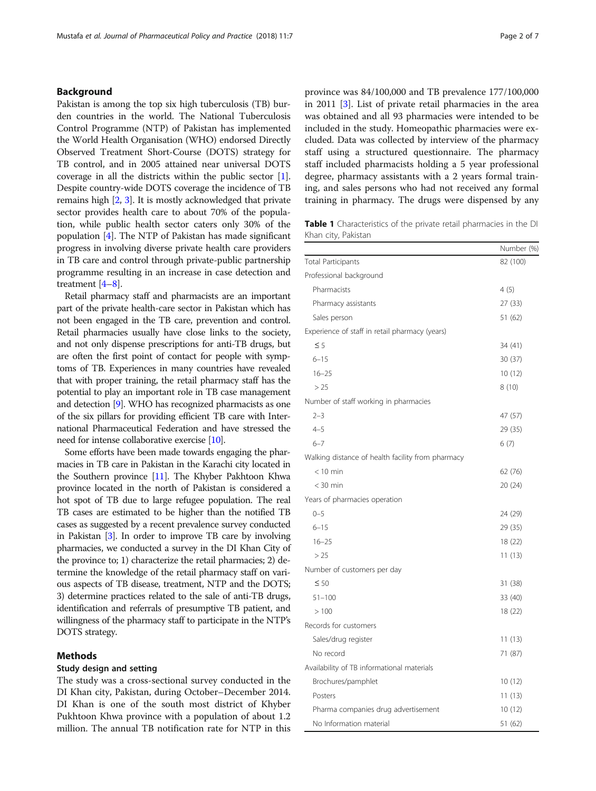# <span id="page-1-0"></span>Background

Pakistan is among the top six high tuberculosis (TB) burden countries in the world. The National Tuberculosis Control Programme (NTP) of Pakistan has implemented the World Health Organisation (WHO) endorsed Directly Observed Treatment Short-Course (DOTS) strategy for TB control, and in 2005 attained near universal DOTS coverage in all the districts within the public sector [[1](#page-6-0)]. Despite country-wide DOTS coverage the incidence of TB remains high [[2,](#page-6-0) [3](#page-6-0)]. It is mostly acknowledged that private sector provides health care to about 70% of the population, while public health sector caters only 30% of the population [\[4\]](#page-6-0). The NTP of Pakistan has made significant progress in involving diverse private health care providers in TB care and control through private-public partnership programme resulting in an increase in case detection and treatment [[4](#page-6-0)–[8](#page-6-0)].

Retail pharmacy staff and pharmacists are an important part of the private health-care sector in Pakistan which has not been engaged in the TB care, prevention and control. Retail pharmacies usually have close links to the society, and not only dispense prescriptions for anti-TB drugs, but are often the first point of contact for people with symptoms of TB. Experiences in many countries have revealed that with proper training, the retail pharmacy staff has the potential to play an important role in TB case management and detection [[9](#page-6-0)]. WHO has recognized pharmacists as one of the six pillars for providing efficient TB care with International Pharmaceutical Federation and have stressed the need for intense collaborative exercise [\[10](#page-6-0)].

Some efforts have been made towards engaging the pharmacies in TB care in Pakistan in the Karachi city located in the Southern province [[11](#page-6-0)]. The Khyber Pakhtoon Khwa province located in the north of Pakistan is considered a hot spot of TB due to large refugee population. The real TB cases are estimated to be higher than the notified TB cases as suggested by a recent prevalence survey conducted in Pakistan [[3](#page-6-0)]. In order to improve TB care by involving pharmacies, we conducted a survey in the DI Khan City of the province to; 1) characterize the retail pharmacies; 2) determine the knowledge of the retail pharmacy staff on various aspects of TB disease, treatment, NTP and the DOTS; 3) determine practices related to the sale of anti-TB drugs, identification and referrals of presumptive TB patient, and willingness of the pharmacy staff to participate in the NTP's DOTS strategy.

## Methods

### Study design and setting

The study was a cross-sectional survey conducted in the DI Khan city, Pakistan, during October–December 2014. DI Khan is one of the south most district of Khyber Pukhtoon Khwa province with a population of about 1.2 million. The annual TB notification rate for NTP in this province was 84/100,000 and TB prevalence 177/100,000 in 2011 [[3\]](#page-6-0). List of private retail pharmacies in the area was obtained and all 93 pharmacies were intended to be included in the study. Homeopathic pharmacies were excluded. Data was collected by interview of the pharmacy staff using a structured questionnaire. The pharmacy staff included pharmacists holding a 5 year professional degree, pharmacy assistants with a 2 years formal training, and sales persons who had not received any formal training in pharmacy. The drugs were dispensed by any

Table 1 Characteristics of the private retail pharmacies in the DI Khan city, Pakistan

|                                                   | Number (%) |
|---------------------------------------------------|------------|
| <b>Total Participants</b>                         | 82 (100)   |
| Professional background                           |            |
| Pharmacists                                       | 4(5)       |
| Pharmacy assistants                               | 27 (33)    |
| Sales person                                      | 51 (62)    |
| Experience of staff in retail pharmacy (years)    |            |
| $\leq$ 5                                          | 34 (41)    |
| $6 - 15$                                          | 30 (37)    |
| $16 - 25$                                         | 10(12)     |
| >25                                               | 8(10)      |
| Number of staff working in pharmacies             |            |
| $2 - 3$                                           | 47 (57)    |
| $4 - 5$                                           | 29 (35)    |
| $6 - 7$                                           | 6(7)       |
| Walking distance of health facility from pharmacy |            |
| $<$ 10 min                                        | 62 (76)    |
| $<$ 30 min                                        | 20(24)     |
| Years of pharmacies operation                     |            |
| $0 - 5$                                           | 24 (29)    |
| $6 - 15$                                          | 29 (35)    |
| $16 - 25$                                         | 18 (22)    |
| > 25                                              | 11(13)     |
| Number of customers per day                       |            |
| $\leq 50$                                         | 31 (38)    |
| $51 - 100$                                        | 33 (40)    |
| >100                                              | 18 (22)    |
| Records for customers                             |            |
| Sales/drug register                               | 11(13)     |
| No record                                         | 71 (87)    |
| Availability of TB informational materials        |            |
| Brochures/pamphlet                                | 10(12)     |
| Posters                                           | 11(13)     |
| Pharma companies drug advertisement               | 10(12)     |
| No Information material                           | 51 (62)    |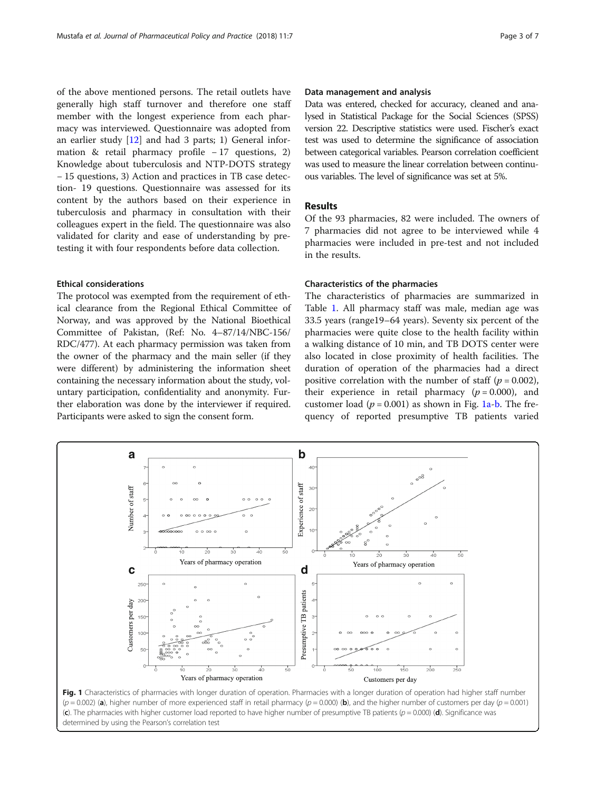<span id="page-2-0"></span>of the above mentioned persons. The retail outlets have generally high staff turnover and therefore one staff member with the longest experience from each pharmacy was interviewed. Questionnaire was adopted from an earlier study [\[12\]](#page-6-0) and had 3 parts; 1) General information & retail pharmacy profile − 17 questions, 2) Knowledge about tuberculosis and NTP-DOTS strategy − 15 questions, 3) Action and practices in TB case detection- 19 questions. Questionnaire was assessed for its content by the authors based on their experience in tuberculosis and pharmacy in consultation with their colleagues expert in the field. The questionnaire was also validated for clarity and ease of understanding by pretesting it with four respondents before data collection.

# Ethical considerations

The protocol was exempted from the requirement of ethical clearance from the Regional Ethical Committee of Norway, and was approved by the National Bioethical Committee of Pakistan, (Ref: No. 4–87/14/NBC-156/ RDC/477). At each pharmacy permission was taken from the owner of the pharmacy and the main seller (if they were different) by administering the information sheet containing the necessary information about the study, voluntary participation, confidentiality and anonymity. Further elaboration was done by the interviewer if required. Participants were asked to sign the consent form.

# Data management and analysis

Data was entered, checked for accuracy, cleaned and analysed in Statistical Package for the Social Sciences (SPSS) version 22. Descriptive statistics were used. Fischer's exact test was used to determine the significance of association between categorical variables. Pearson correlation coefficient was used to measure the linear correlation between continuous variables. The level of significance was set at 5%.

# Results

Of the 93 pharmacies, 82 were included. The owners of 7 pharmacies did not agree to be interviewed while 4 pharmacies were included in pre-test and not included in the results.

# Characteristics of the pharmacies

The characteristics of pharmacies are summarized in Table [1](#page-1-0). All pharmacy staff was male, median age was 33.5 years (range19–64 years). Seventy six percent of the pharmacies were quite close to the health facility within a walking distance of 10 min, and TB DOTS center were also located in close proximity of health facilities. The duration of operation of the pharmacies had a direct positive correlation with the number of staff ( $p = 0.002$ ), their experience in retail pharmacy  $(p = 0.000)$ , and customer load ( $p = 0.001$ ) as shown in Fig. 1a-b. The frequency of reported presumptive TB patients varied



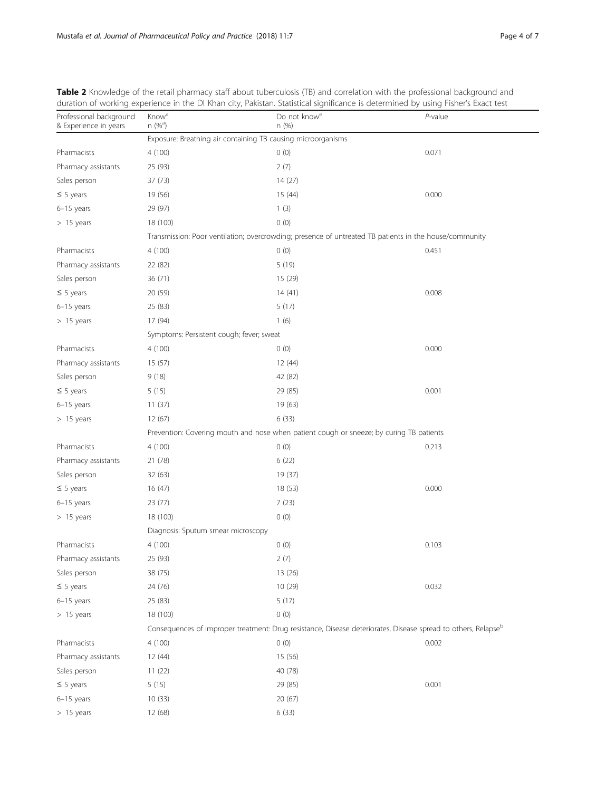| Page 4 of 7 |  |  |  |
|-------------|--|--|--|
|-------------|--|--|--|

| Professional background | Know <sup>a</sup>                                                                                                         | adiation of working experience in the Drivian City, Fakistan. Statistical significance is actemnified by asing nishers Exact test<br>Do not know <sup>a</sup> | P-value |  |  |
|-------------------------|---------------------------------------------------------------------------------------------------------------------------|---------------------------------------------------------------------------------------------------------------------------------------------------------------|---------|--|--|
| & Experience in years   | $n (%^a)$                                                                                                                 | n(%)                                                                                                                                                          |         |  |  |
|                         |                                                                                                                           | Exposure: Breathing air containing TB causing microorganisms                                                                                                  |         |  |  |
| Pharmacists             | 4(100)                                                                                                                    | 0(0)                                                                                                                                                          | 0.071   |  |  |
| Pharmacy assistants     | 25 (93)                                                                                                                   | 2(7)                                                                                                                                                          |         |  |  |
| Sales person            | 37(73)                                                                                                                    | 14(27)                                                                                                                                                        |         |  |  |
| $\leq$ 5 years          | 19 (56)                                                                                                                   | 15(44)                                                                                                                                                        | 0.000   |  |  |
| $6-15$ years            | 29 (97)                                                                                                                   | 1(3)                                                                                                                                                          |         |  |  |
| $> 15$ years            | 18 (100)                                                                                                                  | 0(0)                                                                                                                                                          |         |  |  |
|                         |                                                                                                                           | Transmission: Poor ventilation; overcrowding; presence of untreated TB patients in the house/community                                                        |         |  |  |
| Pharmacists             | 4(100)                                                                                                                    | 0(0)                                                                                                                                                          | 0.451   |  |  |
| Pharmacy assistants     | 22 (82)                                                                                                                   | 5 (19)                                                                                                                                                        |         |  |  |
| Sales person            | 36(71)                                                                                                                    | 15(29)                                                                                                                                                        |         |  |  |
| $\leq$ 5 years          | 20 (59)                                                                                                                   | 14(41)                                                                                                                                                        | 0.008   |  |  |
| $6-15$ years            | 25 (83)                                                                                                                   | 5(17)                                                                                                                                                         |         |  |  |
| $> 15$ years            | 17 (94)                                                                                                                   | 1(6)                                                                                                                                                          |         |  |  |
|                         |                                                                                                                           | Symptoms: Persistent cough; fever; sweat                                                                                                                      |         |  |  |
| Pharmacists             | 4(100)                                                                                                                    | 0(0)                                                                                                                                                          | 0.000   |  |  |
| Pharmacy assistants     | 15(57)                                                                                                                    | 12(44)                                                                                                                                                        |         |  |  |
| Sales person            | 9(18)                                                                                                                     | 42 (82)                                                                                                                                                       |         |  |  |
| $\leq$ 5 years          | 5(15)                                                                                                                     | 29 (85)                                                                                                                                                       | 0.001   |  |  |
| $6-15$ years            | 11(37)                                                                                                                    | 19(63)                                                                                                                                                        |         |  |  |
| $> 15$ years            | 12(67)                                                                                                                    | 6(33)                                                                                                                                                         |         |  |  |
|                         | Prevention: Covering mouth and nose when patient cough or sneeze; by curing TB patients                                   |                                                                                                                                                               |         |  |  |
| Pharmacists             | 4(100)                                                                                                                    | 0(0)                                                                                                                                                          | 0.213   |  |  |
| Pharmacy assistants     | 21 (78)                                                                                                                   | 6(22)                                                                                                                                                         |         |  |  |
| Sales person            | 32(63)                                                                                                                    | 19 (37)                                                                                                                                                       |         |  |  |
| $\leq$ 5 years          | 16(47)                                                                                                                    | 18(53)                                                                                                                                                        | 0.000   |  |  |
| $6-15$ years            | 23 (77)                                                                                                                   | 7(23)                                                                                                                                                         |         |  |  |
| $> 15$ years            | 18 (100)                                                                                                                  | 0(0)                                                                                                                                                          |         |  |  |
|                         | Diagnosis: Sputum smear microscopy                                                                                        |                                                                                                                                                               |         |  |  |
| Pharmacists             | 4(100)                                                                                                                    | 0(0)                                                                                                                                                          | 0.103   |  |  |
| Pharmacy assistants     | 25 (93)                                                                                                                   | 2(7)                                                                                                                                                          |         |  |  |
| Sales person            | 38 (75)                                                                                                                   | 13(26)                                                                                                                                                        |         |  |  |
| $\leq$ 5 years          | 24 (76)                                                                                                                   | 10 (29)                                                                                                                                                       | 0.032   |  |  |
| $6-15$ years            | 25 (83)                                                                                                                   | 5(17)                                                                                                                                                         |         |  |  |
| $> 15$ years            | 18 (100)                                                                                                                  | 0(0)                                                                                                                                                          |         |  |  |
|                         | Consequences of improper treatment: Drug resistance, Disease deteriorates, Disease spread to others, Relapse <sup>b</sup> |                                                                                                                                                               |         |  |  |
| Pharmacists             | 4(100)                                                                                                                    | 0(0)                                                                                                                                                          | 0.002   |  |  |
| Pharmacy assistants     | 12 (44)                                                                                                                   | 15 (56)                                                                                                                                                       |         |  |  |
| Sales person            | 11(22)                                                                                                                    | 40 (78)                                                                                                                                                       |         |  |  |
| $\leq$ 5 years          | 5(15)                                                                                                                     | 29 (85)                                                                                                                                                       | 0.001   |  |  |
| $6-15$ years            | 10(33)                                                                                                                    | 20(67)                                                                                                                                                        |         |  |  |
| $> 15$ years            | 12 (68)                                                                                                                   | 6(33)                                                                                                                                                         |         |  |  |
|                         |                                                                                                                           |                                                                                                                                                               |         |  |  |

<span id="page-3-0"></span>Table 2 Knowledge of the retail pharmacy staff about tuberculosis (TB) and correlation with the professional background and duration of working experience in the DI Khan city, Pakistan. Statistical significance is determined by using Fisher's Exact test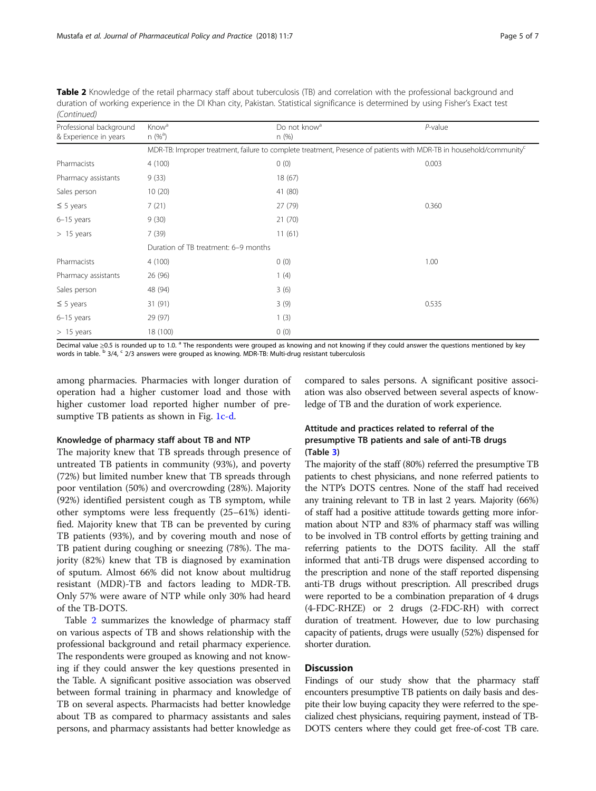| Table 2 Knowledge of the retail pharmacy staff about tuberculosis (TB) and correlation with the professional background and       |
|-----------------------------------------------------------------------------------------------------------------------------------|
| duration of working experience in the DI Khan city, Pakistan. Statistical significance is determined by using Fisher's Exact test |
| (Continued)                                                                                                                       |

| Professional background<br>& Experience in years | Know <sup>a</sup><br>$n (%^a)$                                                                                                  | Do not know <sup>a</sup><br>n(%) | $P$ -value |
|--------------------------------------------------|---------------------------------------------------------------------------------------------------------------------------------|----------------------------------|------------|
|                                                  | MDR-TB: Improper treatment, failure to complete treatment, Presence of patients with MDR-TB in household/community <sup>c</sup> |                                  |            |
| Pharmacists                                      | 4(100)                                                                                                                          | 0(0)                             | 0.003      |
| Pharmacy assistants                              | 9(33)                                                                                                                           | 18(67)                           |            |
| Sales person                                     | 10(20)                                                                                                                          | 41 (80)                          |            |
| $\leq$ 5 years                                   | 7(21)                                                                                                                           | 27 (79)                          | 0.360      |
| $6-15$ years                                     | 9(30)                                                                                                                           | 21(70)                           |            |
| $> 15$ years                                     | 7(39)                                                                                                                           | 11(61)                           |            |
|                                                  | Duration of TB treatment: 6-9 months                                                                                            |                                  |            |
| Pharmacists                                      | 4(100)                                                                                                                          | 0(0)                             | 1.00       |
| Pharmacy assistants                              | 26 (96)                                                                                                                         | 1(4)                             |            |
| Sales person                                     | 48 (94)                                                                                                                         | 3(6)                             |            |
| $\leq$ 5 years                                   | 31 (91)                                                                                                                         | 3(9)                             | 0.535      |
| 6-15 years                                       | 29 (97)                                                                                                                         | 1(3)                             |            |
| $> 15$ years                                     | 18 (100)                                                                                                                        | 0(0)                             |            |

Decimal value ≥0.5 is rounded up to 1.0. <sup>a</sup> The respondents were grouped as knowing and not knowing if they could answer the questions mentioned by key words in table. <sup>b</sup> 3/4, <sup>c</sup> 2/3 answers were grouped as knowing. MDR-TB: Multi-drug resistant tuberculosis

among pharmacies. Pharmacies with longer duration of operation had a higher customer load and those with higher customer load reported higher number of pre-sumptive TB patients as shown in Fig. [1c-d.](#page-2-0)

### Knowledge of pharmacy staff about TB and NTP

The majority knew that TB spreads through presence of untreated TB patients in community (93%), and poverty (72%) but limited number knew that TB spreads through poor ventilation (50%) and overcrowding (28%). Majority (92%) identified persistent cough as TB symptom, while other symptoms were less frequently (25–61%) identified. Majority knew that TB can be prevented by curing TB patients (93%), and by covering mouth and nose of TB patient during coughing or sneezing (78%). The majority (82%) knew that TB is diagnosed by examination of sputum. Almost 66% did not know about multidrug resistant (MDR)-TB and factors leading to MDR-TB. Only 57% were aware of NTP while only 30% had heard of the TB-DOTS.

Table [2](#page-3-0) summarizes the knowledge of pharmacy staff on various aspects of TB and shows relationship with the professional background and retail pharmacy experience. The respondents were grouped as knowing and not knowing if they could answer the key questions presented in the Table. A significant positive association was observed between formal training in pharmacy and knowledge of TB on several aspects. Pharmacists had better knowledge about TB as compared to pharmacy assistants and sales persons, and pharmacy assistants had better knowledge as compared to sales persons. A significant positive association was also observed between several aspects of knowledge of TB and the duration of work experience.

# Attitude and practices related to referral of the presumptive TB patients and sale of anti-TB drugs (Table [3\)](#page-5-0)

The majority of the staff (80%) referred the presumptive TB patients to chest physicians, and none referred patients to the NTP's DOTS centres. None of the staff had received any training relevant to TB in last 2 years. Majority (66%) of staff had a positive attitude towards getting more information about NTP and 83% of pharmacy staff was willing to be involved in TB control efforts by getting training and referring patients to the DOTS facility. All the staff informed that anti-TB drugs were dispensed according to the prescription and none of the staff reported dispensing anti-TB drugs without prescription. All prescribed drugs were reported to be a combination preparation of 4 drugs (4-FDC-RHZE) or 2 drugs (2-FDC-RH) with correct duration of treatment. However, due to low purchasing capacity of patients, drugs were usually (52%) dispensed for shorter duration.

## **Discussion**

Findings of our study show that the pharmacy staff encounters presumptive TB patients on daily basis and despite their low buying capacity they were referred to the specialized chest physicians, requiring payment, instead of TB-DOTS centers where they could get free-of-cost TB care.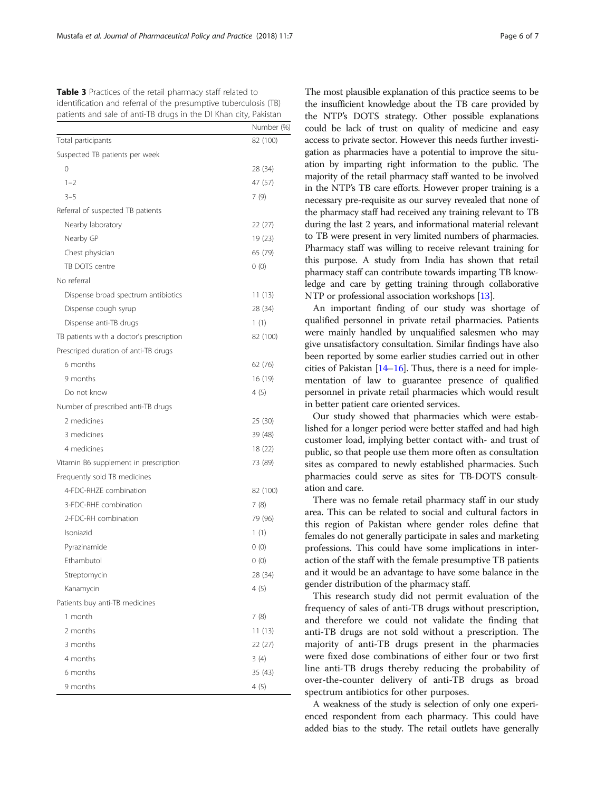<span id="page-5-0"></span>Table 3 Practices of the retail pharmacy staff related to identification and referral of the presumptive tuberculosis (TB) patients and sale of anti-TB drugs in the DI Khan city, Pakistan

|                                          | Number (%) |
|------------------------------------------|------------|
| Total participants                       | 82 (100)   |
| Suspected TB patients per week           |            |
| 0                                        | 28 (34)    |
| $1 - 2$                                  | 47 (57)    |
| $3 - 5$                                  | 7(9)       |
| Referral of suspected TB patients        |            |
| Nearby laboratory                        | 22 (27)    |
| Nearby GP                                | 19 (23)    |
| Chest physician                          | 65 (79)    |
| TB DOTS centre                           | 0(0)       |
| No referral                              |            |
| Dispense broad spectrum antibiotics      | 11(13)     |
| Dispense cough syrup                     | 28 (34)    |
| Dispense anti-TB drugs                   | 1(1)       |
| TB patients with a doctor's prescription | 82 (100)   |
| Prescriped duration of anti-TB drugs     |            |
| 6 months                                 | 62 (76)    |
| 9 months                                 | 16 (19)    |
| Do not know                              | 4 (5)      |
| Number of prescribed anti-TB drugs       |            |
| 2 medicines                              | 25 (30)    |
| 3 medicines                              | 39 (48)    |
| 4 medicines                              | 18 (22)    |
| Vitamin B6 supplement in prescription    | 73 (89)    |
| Frequently sold TB medicines             |            |
| 4-FDC-RHZE combination                   | 82 (100)   |
| 3-FDC-RHE combination                    | 7 (8)      |
| 2-FDC-RH combination                     | 79 (96)    |
| Isoniazid                                | 1(1)       |
| Pyrazinamide                             | 0(0)       |
| Ethambutol                               | 0(0)       |
| Streptomycin                             | 28 (34)    |
| Kanamycin                                | 4(5)       |
| Patients buy anti-TB medicines           |            |
| 1 month                                  | 7(8)       |
| 2 months                                 | 11(13)     |
| 3 months                                 | 22 (27)    |
| 4 months                                 | 3(4)       |
| 6 months                                 | 35 (43)    |
| 9 months                                 | 4 (5)      |

The most plausible explanation of this practice seems to be the insufficient knowledge about the TB care provided by the NTP's DOTS strategy. Other possible explanations could be lack of trust on quality of medicine and easy access to private sector. However this needs further investigation as pharmacies have a potential to improve the situation by imparting right information to the public. The majority of the retail pharmacy staff wanted to be involved in the NTP's TB care efforts. However proper training is a necessary pre-requisite as our survey revealed that none of the pharmacy staff had received any training relevant to TB during the last 2 years, and informational material relevant to TB were present in very limited numbers of pharmacies. Pharmacy staff was willing to receive relevant training for this purpose. A study from India has shown that retail pharmacy staff can contribute towards imparting TB knowledge and care by getting training through collaborative

An important finding of our study was shortage of qualified personnel in private retail pharmacies. Patients were mainly handled by unqualified salesmen who may give unsatisfactory consultation. Similar findings have also been reported by some earlier studies carried out in other cities of Pakistan  $[14–16]$  $[14–16]$  $[14–16]$  $[14–16]$ . Thus, there is a need for implementation of law to guarantee presence of qualified personnel in private retail pharmacies which would result in better patient care oriented services.

NTP or professional association workshops [\[13\]](#page-6-0).

Our study showed that pharmacies which were established for a longer period were better staffed and had high customer load, implying better contact with- and trust of public, so that people use them more often as consultation sites as compared to newly established pharmacies. Such pharmacies could serve as sites for TB-DOTS consultation and care.

There was no female retail pharmacy staff in our study area. This can be related to social and cultural factors in this region of Pakistan where gender roles define that females do not generally participate in sales and marketing professions. This could have some implications in interaction of the staff with the female presumptive TB patients and it would be an advantage to have some balance in the gender distribution of the pharmacy staff.

This research study did not permit evaluation of the frequency of sales of anti-TB drugs without prescription, and therefore we could not validate the finding that anti-TB drugs are not sold without a prescription. The majority of anti-TB drugs present in the pharmacies were fixed dose combinations of either four or two first line anti-TB drugs thereby reducing the probability of over-the-counter delivery of anti-TB drugs as broad spectrum antibiotics for other purposes.

A weakness of the study is selection of only one experienced respondent from each pharmacy. This could have added bias to the study. The retail outlets have generally